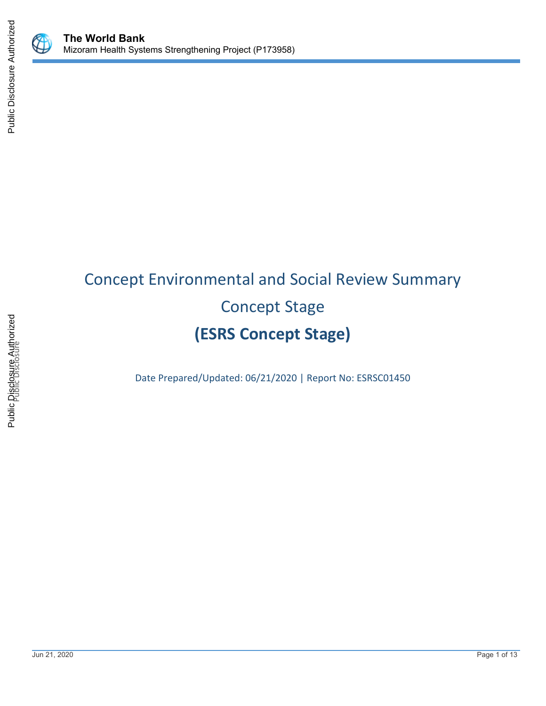

# Concept Environmental and Social Review Summary Concept Stage **(ESRS Concept Stage)**

Date Prepared/Updated: 06/21/2020 | Report No: ESRSC01450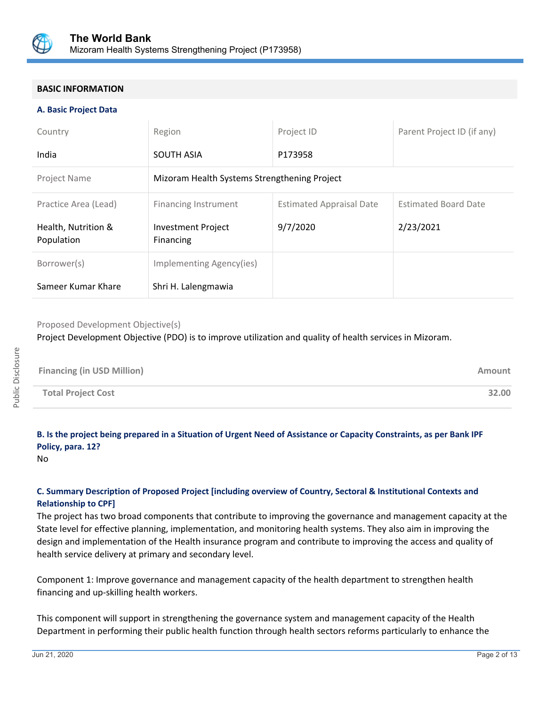

#### **BASIC INFORMATION**

#### **A. Basic Project Data**

| Country                           | Region                                       | Project ID                      | Parent Project ID (if any)  |  |  |
|-----------------------------------|----------------------------------------------|---------------------------------|-----------------------------|--|--|
| India                             | <b>SOUTH ASIA</b>                            | P173958                         |                             |  |  |
| <b>Project Name</b>               | Mizoram Health Systems Strengthening Project |                                 |                             |  |  |
| Practice Area (Lead)              | Financing Instrument                         | <b>Estimated Appraisal Date</b> | <b>Estimated Board Date</b> |  |  |
| Health, Nutrition &<br>Population | <b>Investment Project</b><br>Financing       | 9/7/2020                        | 2/23/2021                   |  |  |
| Borrower(s)                       | Implementing Agency(ies)                     |                                 |                             |  |  |
| Sameer Kumar Khare                | Shri H. Lalengmawia                          |                                 |                             |  |  |

#### Proposed Development Objective(s)

Project Development Objective (PDO) is to improve utilization and quality of health services in Mizoram.

| <b>Financing (in USD Million)</b> | Amount |
|-----------------------------------|--------|
| <b>Total Project Cost</b>         | 32.00  |

### **B. Is the project being prepared in a Situation of Urgent Need of Assistance or Capacity Constraints, as per Bank IPF Policy, para. 12?**

No

#### **C. Summary Description of Proposed Project [including overview of Country, Sectoral & Institutional Contexts and Relationship to CPF]**

The project has two broad components that contribute to improving the governance and management capacity at the State level for effective planning, implementation, and monitoring health systems. They also aim in improving the design and implementation of the Health insurance program and contribute to improving the access and quality of health service delivery at primary and secondary level.

Component 1: Improve governance and management capacity of the health department to strengthen health financing and up-skilling health workers.

This component will support in strengthening the governance system and management capacity of the Health Department in performing their public health function through health sectors reforms particularly to enhance the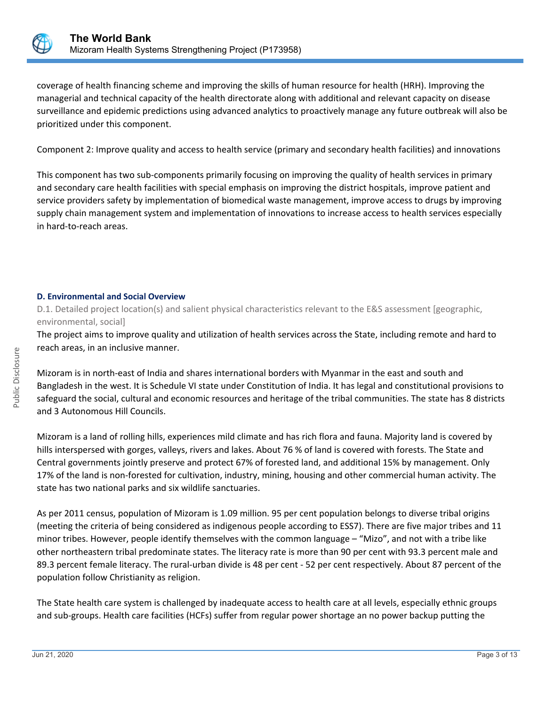

coverage of health financing scheme and improving the skills of human resource for health (HRH). Improving the managerial and technical capacity of the health directorate along with additional and relevant capacity on disease surveillance and epidemic predictions using advanced analytics to proactively manage any future outbreak will also be prioritized under this component.

Component 2: Improve quality and access to health service (primary and secondary health facilities) and innovations

This component has two sub-components primarily focusing on improving the quality of health services in primary and secondary care health facilities with special emphasis on improving the district hospitals, improve patient and service providers safety by implementation of biomedical waste management, improve access to drugs by improving supply chain management system and implementation of innovations to increase access to health services especially in hard-to-reach areas.

#### **D. Environmental and Social Overview**

D.1. Detailed project location(s) and salient physical characteristics relevant to the E&S assessment [geographic, environmental, social]

The project aims to improve quality and utilization of health services across the State, including remote and hard to reach areas, in an inclusive manner.

Mizoram is in north-east of India and shares international borders with Myanmar in the east and south and Bangladesh in the west. It is Schedule VI state under Constitution of India. It has legal and constitutional provisions to safeguard the social, cultural and economic resources and heritage of the tribal communities. The state has 8 districts and 3 Autonomous Hill Councils.

Mizoram is a land of rolling hills, experiences mild climate and has rich flora and fauna. Majority land is covered by hills interspersed with gorges, valleys, rivers and lakes. About 76 % of land is covered with forests. The State and Central governments jointly preserve and protect 67% of forested land, and additional 15% by management. Only 17% of the land is non-forested for cultivation, industry, mining, housing and other commercial human activity. The state has two national parks and six wildlife sanctuaries.

As per 2011 census, population of Mizoram is 1.09 million. 95 per cent population belongs to diverse tribal origins (meeting the criteria of being considered as indigenous people according to ESS7). There are five major tribes and 11 minor tribes. However, people identify themselves with the common language – "Mizo", and not with a tribe like other northeastern tribal predominate states. The literacy rate is more than 90 per cent with 93.3 percent male and 89.3 percent female literacy. The rural-urban divide is 48 per cent - 52 per cent respectively. About 87 percent of the population follow Christianity as religion.

The State health care system is challenged by inadequate access to health care at all levels, especially ethnic groups and sub-groups. Health care facilities (HCFs) suffer from regular power shortage an no power backup putting the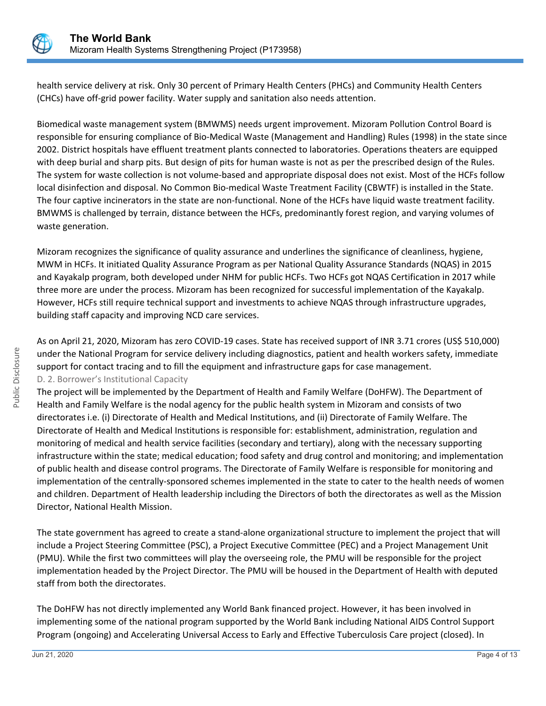

health service delivery at risk. Only 30 percent of Primary Health Centers (PHCs) and Community Health Centers (CHCs) have off-grid power facility. Water supply and sanitation also needs attention.

Biomedical waste management system (BMWMS) needs urgent improvement. Mizoram Pollution Control Board is responsible for ensuring compliance of Bio-Medical Waste (Management and Handling) Rules (1998) in the state since 2002. District hospitals have effluent treatment plants connected to laboratories. Operations theaters are equipped with deep burial and sharp pits. But design of pits for human waste is not as per the prescribed design of the Rules. The system for waste collection is not volume-based and appropriate disposal does not exist. Most of the HCFs follow local disinfection and disposal. No Common Bio-medical Waste Treatment Facility (CBWTF) is installed in the State. The four captive incinerators in the state are non-functional. None of the HCFs have liquid waste treatment facility. BMWMS is challenged by terrain, distance between the HCFs, predominantly forest region, and varying volumes of waste generation.

Mizoram recognizes the significance of quality assurance and underlines the significance of cleanliness, hygiene, MWM in HCFs. It initiated Quality Assurance Program as per National Quality Assurance Standards (NQAS) in 2015 and Kayakalp program, both developed under NHM for public HCFs. Two HCFs got NQAS Certification in 2017 while three more are under the process. Mizoram has been recognized for successful implementation of the Kayakalp. However, HCFs still require technical support and investments to achieve NQAS through infrastructure upgrades, building staff capacity and improving NCD care services.

As on April 21, 2020, Mizoram has zero COVID-19 cases. State has received support of INR 3.71 crores (US\$ 510,000) under the National Program for service delivery including diagnostics, patient and health workers safety, immediate support for contact tracing and to fill the equipment and infrastructure gaps for case management. D. 2. Borrower's Institutional Capacity

The project will be implemented by the Department of Health and Family Welfare (DoHFW). The Department of Health and Family Welfare is the nodal agency for the public health system in Mizoram and consists of two directorates i.e. (i) Directorate of Health and Medical Institutions, and (ii) Directorate of Family Welfare. The Directorate of Health and Medical Institutions is responsible for: establishment, administration, regulation and monitoring of medical and health service facilities (secondary and tertiary), along with the necessary supporting infrastructure within the state; medical education; food safety and drug control and monitoring; and implementation of public health and disease control programs. The Directorate of Family Welfare is responsible for monitoring and implementation of the centrally-sponsored schemes implemented in the state to cater to the health needs of women and children. Department of Health leadership including the Directors of both the directorates as well as the Mission Director, National Health Mission.

The state government has agreed to create a stand-alone organizational structure to implement the project that will include a Project Steering Committee (PSC), a Project Executive Committee (PEC) and a Project Management Unit (PMU). While the first two committees will play the overseeing role, the PMU will be responsible for the project implementation headed by the Project Director. The PMU will be housed in the Department of Health with deputed staff from both the directorates.

The DoHFW has not directly implemented any World Bank financed project. However, it has been involved in implementing some of the national program supported by the World Bank including National AIDS Control Support Program (ongoing) and Accelerating Universal Access to Early and Effective Tuberculosis Care project (closed). In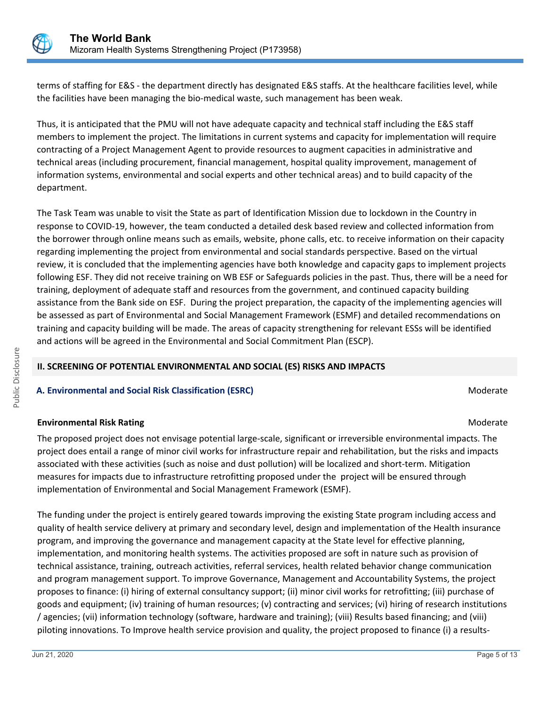

terms of staffing for E&S - the department directly has designated E&S staffs. At the healthcare facilities level, while the facilities have been managing the bio-medical waste, such management has been weak.

Thus, it is anticipated that the PMU will not have adequate capacity and technical staff including the E&S staff members to implement the project. The limitations in current systems and capacity for implementation will require contracting of a Project Management Agent to provide resources to augment capacities in administrative and technical areas (including procurement, financial management, hospital quality improvement, management of information systems, environmental and social experts and other technical areas) and to build capacity of the department.

The Task Team was unable to visit the State as part of Identification Mission due to lockdown in the Country in response to COVID-19, however, the team conducted a detailed desk based review and collected information from the borrower through online means such as emails, website, phone calls, etc. to receive information on their capacity regarding implementing the project from environmental and social standards perspective. Based on the virtual review, it is concluded that the implementing agencies have both knowledge and capacity gaps to implement projects following ESF. They did not receive training on WB ESF or Safeguards policies in the past. Thus, there will be a need for training, deployment of adequate staff and resources from the government, and continued capacity building assistance from the Bank side on ESF. During the project preparation, the capacity of the implementing agencies will be assessed as part of Environmental and Social Management Framework (ESMF) and detailed recommendations on training and capacity building will be made. The areas of capacity strengthening for relevant ESSs will be identified and actions will be agreed in the Environmental and Social Commitment Plan (ESCP).

#### **II. SCREENING OF POTENTIAL ENVIRONMENTAL AND SOCIAL (ES) RISKS AND IMPACTS**

#### **A. Environmental and Social Risk Classification (ESRC) Moderate Social Analysis of Algebra** Moderate Moderate

#### **Environmental Risk Rating Moderate School School School School School School School School School School School School School School School School School School School School School School School School School School Scho**

The proposed project does not envisage potential large-scale, significant or irreversible environmental impacts. The project does entail a range of minor civil works for infrastructure repair and rehabilitation, but the risks and impacts associated with these activities (such as noise and dust pollution) will be localized and short-term. Mitigation measures for impacts due to infrastructure retrofitting proposed under the project will be ensured through implementation of Environmental and Social Management Framework (ESMF).

The funding under the project is entirely geared towards improving the existing State program including access and quality of health service delivery at primary and secondary level, design and implementation of the Health insurance program, and improving the governance and management capacity at the State level for effective planning, implementation, and monitoring health systems. The activities proposed are soft in nature such as provision of technical assistance, training, outreach activities, referral services, health related behavior change communication and program management support. To improve Governance, Management and Accountability Systems, the project proposes to finance: (i) hiring of external consultancy support; (ii) minor civil works for retrofitting; (iii) purchase of goods and equipment; (iv) training of human resources; (v) contracting and services; (vi) hiring of research institutions / agencies; (vii) information technology (software, hardware and training); (viii) Results based financing; and (viii) piloting innovations. To Improve health service provision and quality, the project proposed to finance (i) a results-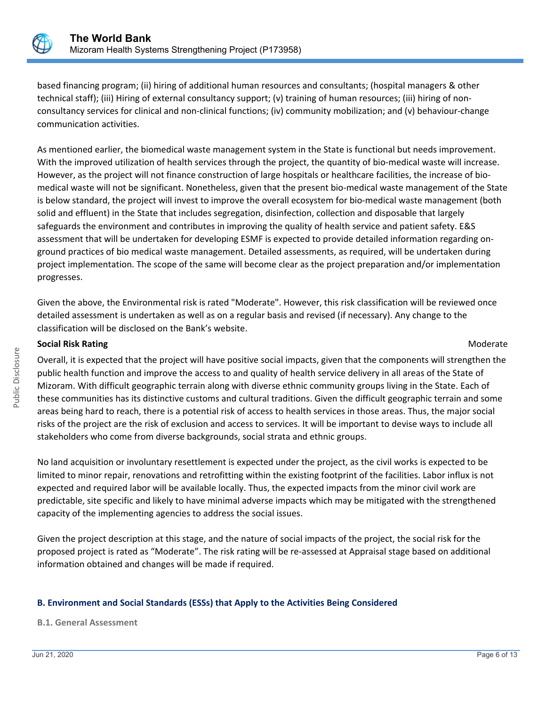

based financing program; (ii) hiring of additional human resources and consultants; (hospital managers & other technical staff); (iii) Hiring of external consultancy support; (v) training of human resources; (iii) hiring of nonconsultancy services for clinical and non-clinical functions; (iv) community mobilization; and (v) behaviour-change communication activities.

As mentioned earlier, the biomedical waste management system in the State is functional but needs improvement. With the improved utilization of health services through the project, the quantity of bio-medical waste will increase. However, as the project will not finance construction of large hospitals or healthcare facilities, the increase of biomedical waste will not be significant. Nonetheless, given that the present bio-medical waste management of the State is below standard, the project will invest to improve the overall ecosystem for bio-medical waste management (both solid and effluent) in the State that includes segregation, disinfection, collection and disposable that largely safeguards the environment and contributes in improving the quality of health service and patient safety. E&S assessment that will be undertaken for developing ESMF is expected to provide detailed information regarding onground practices of bio medical waste management. Detailed assessments, as required, will be undertaken during project implementation. The scope of the same will become clear as the project preparation and/or implementation progresses.

Given the above, the Environmental risk is rated "Moderate". However, this risk classification will be reviewed once detailed assessment is undertaken as well as on a regular basis and revised (if necessary). Any change to the classification will be disclosed on the Bank's website.

#### **Social Risk Rating Moderate Social Risk Rating Moderate**  $M$

Overall, it is expected that the project will have positive social impacts, given that the components will strengthen the public health function and improve the access to and quality of health service delivery in all areas of the State of Mizoram. With difficult geographic terrain along with diverse ethnic community groups living in the State. Each of these communities has its distinctive customs and cultural traditions. Given the difficult geographic terrain and some areas being hard to reach, there is a potential risk of access to health services in those areas. Thus, the major social risks of the project are the risk of exclusion and access to services. It will be important to devise ways to include all stakeholders who come from diverse backgrounds, social strata and ethnic groups.

No land acquisition or involuntary resettlement is expected under the project, as the civil works is expected to be limited to minor repair, renovations and retrofitting within the existing footprint of the facilities. Labor influx is not expected and required labor will be available locally. Thus, the expected impacts from the minor civil work are predictable, site specific and likely to have minimal adverse impacts which may be mitigated with the strengthened capacity of the implementing agencies to address the social issues.

Given the project description at this stage, and the nature of social impacts of the project, the social risk for the proposed project is rated as "Moderate". The risk rating will be re-assessed at Appraisal stage based on additional information obtained and changes will be made if required.

#### **B. Environment and Social Standards (ESSs) that Apply to the Activities Being Considered**

#### **B.1. General Assessment**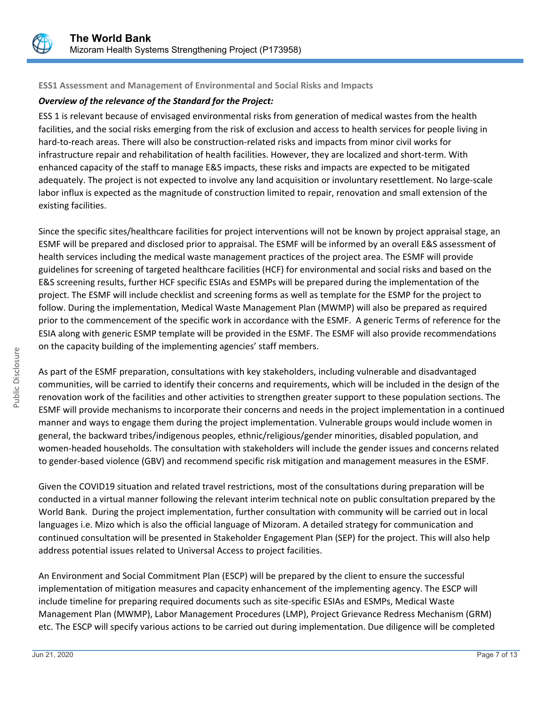

#### **ESS1 Assessment and Management of Environmental and Social Risks and Impacts**

#### *Overview of the relevance of the Standard for the Project:*

ESS 1 is relevant because of envisaged environmental risks from generation of medical wastes from the health facilities, and the social risks emerging from the risk of exclusion and access to health services for people living in hard-to-reach areas. There will also be construction-related risks and impacts from minor civil works for infrastructure repair and rehabilitation of health facilities. However, they are localized and short-term. With enhanced capacity of the staff to manage E&S impacts, these risks and impacts are expected to be mitigated adequately. The project is not expected to involve any land acquisition or involuntary resettlement. No large-scale labor influx is expected as the magnitude of construction limited to repair, renovation and small extension of the existing facilities.

Since the specific sites/healthcare facilities for project interventions will not be known by project appraisal stage, an ESMF will be prepared and disclosed prior to appraisal. The ESMF will be informed by an overall E&S assessment of health services including the medical waste management practices of the project area. The ESMF will provide guidelines for screening of targeted healthcare facilities (HCF) for environmental and social risks and based on the E&S screening results, further HCF specific ESIAs and ESMPs will be prepared during the implementation of the project. The ESMF will include checklist and screening forms as well as template for the ESMP for the project to follow. During the implementation, Medical Waste Management Plan (MWMP) will also be prepared as required prior to the commencement of the specific work in accordance with the ESMF. A generic Terms of reference for the ESIA along with generic ESMP template will be provided in the ESMF. The ESMF will also provide recommendations on the capacity building of the implementing agencies' staff members.

As part of the ESMF preparation, consultations with key stakeholders, including vulnerable and disadvantaged communities, will be carried to identify their concerns and requirements, which will be included in the design of the renovation work of the facilities and other activities to strengthen greater support to these population sections. The ESMF will provide mechanisms to incorporate their concerns and needs in the project implementation in a continued manner and ways to engage them during the project implementation. Vulnerable groups would include women in general, the backward tribes/indigenous peoples, ethnic/religious/gender minorities, disabled population, and women-headed households. The consultation with stakeholders will include the gender issues and concerns related to gender-based violence (GBV) and recommend specific risk mitigation and management measures in the ESMF.

Given the COVID19 situation and related travel restrictions, most of the consultations during preparation will be conducted in a virtual manner following the relevant interim technical note on public consultation prepared by the World Bank. During the project implementation, further consultation with community will be carried out in local languages i.e. Mizo which is also the official language of Mizoram. A detailed strategy for communication and continued consultation will be presented in Stakeholder Engagement Plan (SEP) for the project. This will also help address potential issues related to Universal Access to project facilities.

An Environment and Social Commitment Plan (ESCP) will be prepared by the client to ensure the successful implementation of mitigation measures and capacity enhancement of the implementing agency. The ESCP will include timeline for preparing required documents such as site-specific ESIAs and ESMPs, Medical Waste Management Plan (MWMP), Labor Management Procedures (LMP), Project Grievance Redress Mechanism (GRM) etc. The ESCP will specify various actions to be carried out during implementation. Due diligence will be completed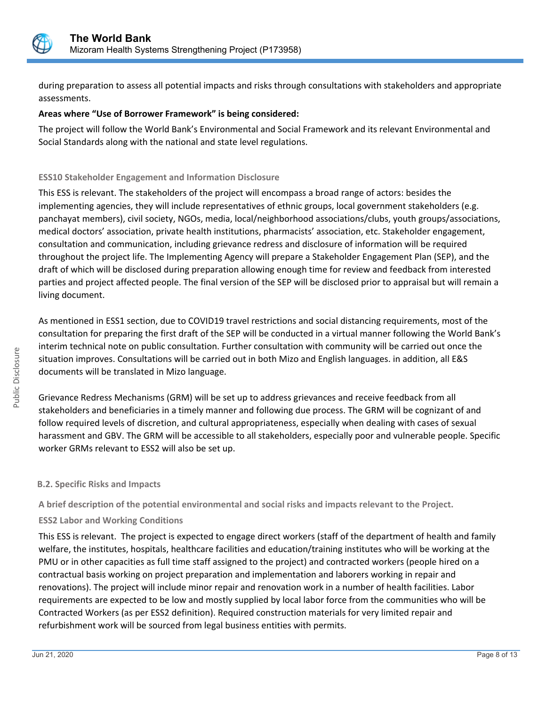

during preparation to assess all potential impacts and risks through consultations with stakeholders and appropriate assessments.

#### **Areas where "Use of Borrower Framework" is being considered:**

The project will follow the World Bank's Environmental and Social Framework and its relevant Environmental and Social Standards along with the national and state level regulations.

#### **ESS10 Stakeholder Engagement and Information Disclosure**

This ESS is relevant. The stakeholders of the project will encompass a broad range of actors: besides the implementing agencies, they will include representatives of ethnic groups, local government stakeholders (e.g. panchayat members), civil society, NGOs, media, local/neighborhood associations/clubs, youth groups/associations, medical doctors' association, private health institutions, pharmacists' association, etc. Stakeholder engagement, consultation and communication, including grievance redress and disclosure of information will be required throughout the project life. The Implementing Agency will prepare a Stakeholder Engagement Plan (SEP), and the draft of which will be disclosed during preparation allowing enough time for review and feedback from interested parties and project affected people. The final version of the SEP will be disclosed prior to appraisal but will remain a living document.

As mentioned in ESS1 section, due to COVID19 travel restrictions and social distancing requirements, most of the consultation for preparing the first draft of the SEP will be conducted in a virtual manner following the World Bank's interim technical note on public consultation. Further consultation with community will be carried out once the situation improves. Consultations will be carried out in both Mizo and English languages. in addition, all E&S documents will be translated in Mizo language.

Grievance Redress Mechanisms (GRM) will be set up to address grievances and receive feedback from all stakeholders and beneficiaries in a timely manner and following due process. The GRM will be cognizant of and follow required levels of discretion, and cultural appropriateness, especially when dealing with cases of sexual harassment and GBV. The GRM will be accessible to all stakeholders, especially poor and vulnerable people. Specific worker GRMs relevant to ESS2 will also be set up.

#### **B.2. Specific Risks and Impacts**

**A brief description of the potential environmental and social risks and impacts relevant to the Project.**

#### **ESS2 Labor and Working Conditions**

This ESS is relevant. The project is expected to engage direct workers (staff of the department of health and family welfare, the institutes, hospitals, healthcare facilities and education/training institutes who will be working at the PMU or in other capacities as full time staff assigned to the project) and contracted workers (people hired on a contractual basis working on project preparation and implementation and laborers working in repair and renovations). The project will include minor repair and renovation work in a number of health facilities. Labor requirements are expected to be low and mostly supplied by local labor force from the communities who will be Contracted Workers (as per ESS2 definition). Required construction materials for very limited repair and refurbishment work will be sourced from legal business entities with permits.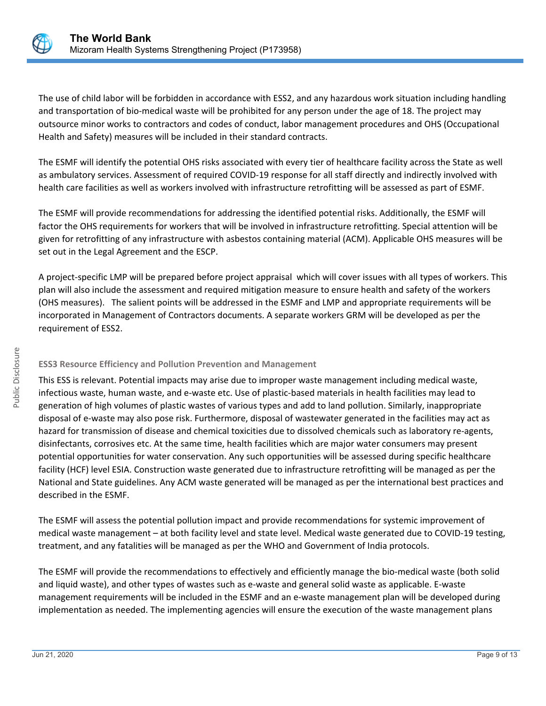

The use of child labor will be forbidden in accordance with ESS2, and any hazardous work situation including handling and transportation of bio-medical waste will be prohibited for any person under the age of 18. The project may outsource minor works to contractors and codes of conduct, labor management procedures and OHS (Occupational Health and Safety) measures will be included in their standard contracts.

The ESMF will identify the potential OHS risks associated with every tier of healthcare facility across the State as well as ambulatory services. Assessment of required COVID-19 response for all staff directly and indirectly involved with health care facilities as well as workers involved with infrastructure retrofitting will be assessed as part of ESMF.

The ESMF will provide recommendations for addressing the identified potential risks. Additionally, the ESMF will factor the OHS requirements for workers that will be involved in infrastructure retrofitting. Special attention will be given for retrofitting of any infrastructure with asbestos containing material (ACM). Applicable OHS measures will be set out in the Legal Agreement and the ESCP.

A project-specific LMP will be prepared before project appraisal which will cover issues with all types of workers. This plan will also include the assessment and required mitigation measure to ensure health and safety of the workers (OHS measures). The salient points will be addressed in the ESMF and LMP and appropriate requirements will be incorporated in Management of Contractors documents. A separate workers GRM will be developed as per the requirement of ESS2.

#### **ESS3 Resource Efficiency and Pollution Prevention and Management**

This ESS is relevant. Potential impacts may arise due to improper waste management including medical waste, infectious waste, human waste, and e-waste etc. Use of plastic-based materials in health facilities may lead to generation of high volumes of plastic wastes of various types and add to land pollution. Similarly, inappropriate disposal of e-waste may also pose risk. Furthermore, disposal of wastewater generated in the facilities may act as hazard for transmission of disease and chemical toxicities due to dissolved chemicals such as laboratory re-agents, disinfectants, corrosives etc. At the same time, health facilities which are major water consumers may present potential opportunities for water conservation. Any such opportunities will be assessed during specific healthcare facility (HCF) level ESIA. Construction waste generated due to infrastructure retrofitting will be managed as per the National and State guidelines. Any ACM waste generated will be managed as per the international best practices and described in the ESMF.

The ESMF will assess the potential pollution impact and provide recommendations for systemic improvement of medical waste management – at both facility level and state level. Medical waste generated due to COVID-19 testing, treatment, and any fatalities will be managed as per the WHO and Government of India protocols.

The ESMF will provide the recommendations to effectively and efficiently manage the bio-medical waste (both solid and liquid waste), and other types of wastes such as e-waste and general solid waste as applicable. E-waste management requirements will be included in the ESMF and an e-waste management plan will be developed during implementation as needed. The implementing agencies will ensure the execution of the waste management plans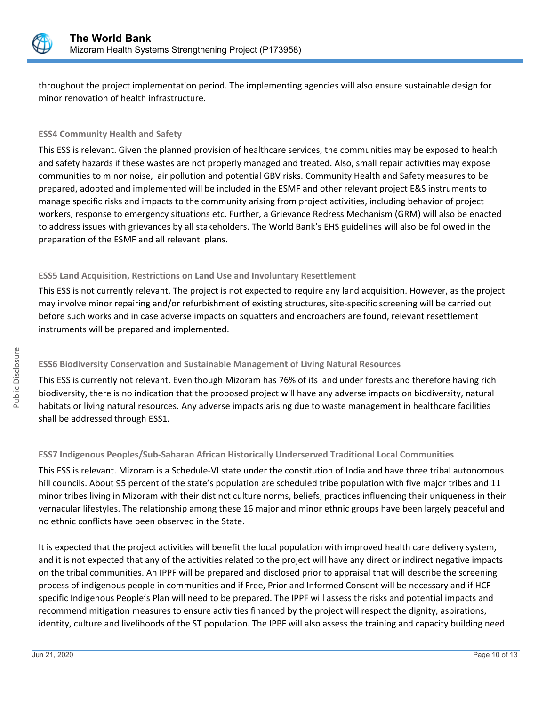

throughout the project implementation period. The implementing agencies will also ensure sustainable design for minor renovation of health infrastructure.

#### **ESS4 Community Health and Safety**

This ESS is relevant. Given the planned provision of healthcare services, the communities may be exposed to health and safety hazards if these wastes are not properly managed and treated. Also, small repair activities may expose communities to minor noise, air pollution and potential GBV risks. Community Health and Safety measures to be prepared, adopted and implemented will be included in the ESMF and other relevant project E&S instruments to manage specific risks and impacts to the community arising from project activities, including behavior of project workers, response to emergency situations etc. Further, a Grievance Redress Mechanism (GRM) will also be enacted to address issues with grievances by all stakeholders. The World Bank's EHS guidelines will also be followed in the preparation of the ESMF and all relevant plans.

#### **ESS5 Land Acquisition, Restrictions on Land Use and Involuntary Resettlement**

This ESS is not currently relevant. The project is not expected to require any land acquisition. However, as the project may involve minor repairing and/or refurbishment of existing structures, site-specific screening will be carried out before such works and in case adverse impacts on squatters and encroachers are found, relevant resettlement instruments will be prepared and implemented.

#### **ESS6 Biodiversity Conservation and Sustainable Management of Living Natural Resources**

This ESS is currently not relevant. Even though Mizoram has 76% of its land under forests and therefore having rich biodiversity, there is no indication that the proposed project will have any adverse impacts on biodiversity, natural habitats or living natural resources. Any adverse impacts arising due to waste management in healthcare facilities shall be addressed through ESS1.

#### **ESS7 Indigenous Peoples/Sub-Saharan African Historically Underserved Traditional Local Communities**

This ESS is relevant. Mizoram is a Schedule-VI state under the constitution of India and have three tribal autonomous hill councils. About 95 percent of the state's population are scheduled tribe population with five major tribes and 11 minor tribes living in Mizoram with their distinct culture norms, beliefs, practices influencing their uniqueness in their vernacular lifestyles. The relationship among these 16 major and minor ethnic groups have been largely peaceful and no ethnic conflicts have been observed in the State.

It is expected that the project activities will benefit the local population with improved health care delivery system, and it is not expected that any of the activities related to the project will have any direct or indirect negative impacts on the tribal communities. An IPPF will be prepared and disclosed prior to appraisal that will describe the screening process of indigenous people in communities and if Free, Prior and Informed Consent will be necessary and if HCF specific Indigenous People's Plan will need to be prepared. The IPPF will assess the risks and potential impacts and recommend mitigation measures to ensure activities financed by the project will respect the dignity, aspirations, identity, culture and livelihoods of the ST population. The IPPF will also assess the training and capacity building need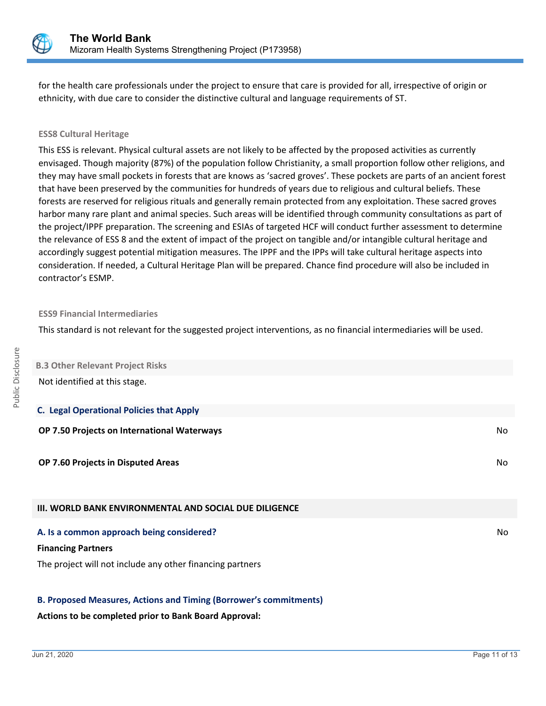

for the health care professionals under the project to ensure that care is provided for all, irrespective of origin or ethnicity, with due care to consider the distinctive cultural and language requirements of ST.

#### **ESS8 Cultural Heritage**

This ESS is relevant. Physical cultural assets are not likely to be affected by the proposed activities as currently envisaged. Though majority (87%) of the population follow Christianity, a small proportion follow other religions, and they may have small pockets in forests that are knows as 'sacred groves'. These pockets are parts of an ancient forest that have been preserved by the communities for hundreds of years due to religious and cultural beliefs. These forests are reserved for religious rituals and generally remain protected from any exploitation. These sacred groves harbor many rare plant and animal species. Such areas will be identified through community consultations as part of the project/IPPF preparation. The screening and ESIAs of targeted HCF will conduct further assessment to determine the relevance of ESS 8 and the extent of impact of the project on tangible and/or intangible cultural heritage and accordingly suggest potential mitigation measures. The IPPF and the IPPs will take cultural heritage aspects into consideration. If needed, a Cultural Heritage Plan will be prepared. Chance find procedure will also be included in contractor's ESMP.

#### **ESS9 Financial Intermediaries**

This standard is not relevant for the suggested project interventions, as no financial intermediaries will be used.

| <b>B.3 Other Relevant Project Risks</b>                       |     |
|---------------------------------------------------------------|-----|
| Not identified at this stage.                                 |     |
| <b>C. Legal Operational Policies that Apply</b>               |     |
| OP 7.50 Projects on International Waterways                   | No  |
| OP 7.60 Projects in Disputed Areas                            | No  |
| <b>III. WORLD BANK ENVIRONMENTAL AND SOCIAL DUE DILIGENCE</b> |     |
| A. Is a common approach being considered?                     | No. |

#### **Financing Partners**

The project will not include any other financing partners

#### **B. Proposed Measures, Actions and Timing (Borrower's commitments)**

#### **Actions to be completed prior to Bank Board Approval:**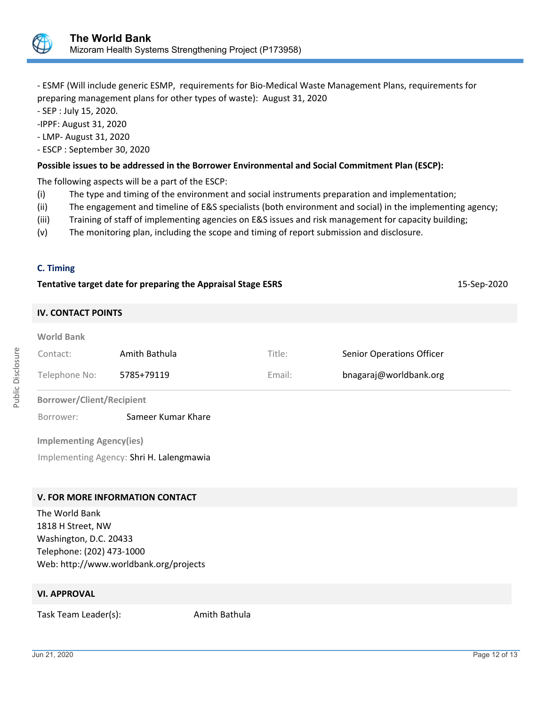

- ESMF (Will include generic ESMP, requirements for Bio-Medical Waste Management Plans, requirements for preparing management plans for other types of waste): August 31, 2020

- SEP : July 15, 2020.

-IPPF: August 31, 2020

- LMP- August 31, 2020

- ESCP : September 30, 2020

#### **Possible issues to be addressed in the Borrower Environmental and Social Commitment Plan (ESCP):**

The following aspects will be a part of the ESCP:

- (i) The type and timing of the environment and social instruments preparation and implementation;
- (ii) The engagement and timeline of E&S specialists (both environment and social) in the implementing agency;
- (iii) Training of staff of implementing agencies on E&S issues and risk management for capacity building;
- (v) The monitoring plan, including the scope and timing of report submission and disclosure.

#### **C. Timing**

| Tentative target date for preparing the Appraisal Stage ESRS |                    |        |                                  |  |  |  |
|--------------------------------------------------------------|--------------------|--------|----------------------------------|--|--|--|
| <b>IV. CONTACT POINTS</b>                                    |                    |        |                                  |  |  |  |
| <b>World Bank</b><br>Contact:                                | Amith Bathula      | Title: | <b>Senior Operations Officer</b> |  |  |  |
| Telephone No:                                                | 5785+79119         | Email: | bnagaraj@worldbank.org           |  |  |  |
| <b>Borrower/Client/Recipient</b>                             |                    |        |                                  |  |  |  |
| Borrower:                                                    | Sameer Kumar Khare |        |                                  |  |  |  |
| <b>Implementing Agency(ies)</b>                              |                    |        |                                  |  |  |  |
| Implementing Agency: Shri H. Lalengmawia                     |                    |        |                                  |  |  |  |
|                                                              |                    |        |                                  |  |  |  |
|                                                              |                    |        |                                  |  |  |  |

## **V. FOR MORE INFORMATION CONTACT**

The World Bank 1818 H Street, NW Washington, D.C. 20433 Telephone: (202) 473-1000 Web: http://www.worldbank.org/projects

#### **VI. APPROVAL**

Task Team Leader(s): Amith Bathula